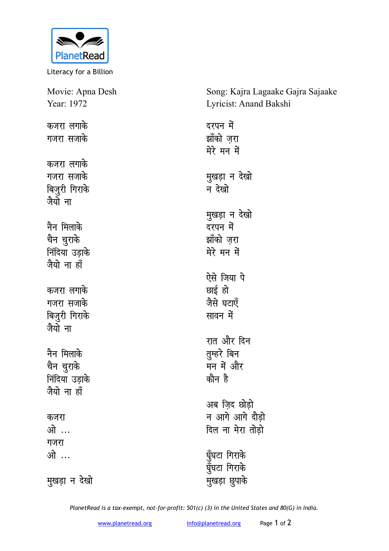

Literacy for a Billion

| Movie: Apna Desh             | Song: Kajra Lagaake Gajra Sajaake |
|------------------------------|-----------------------------------|
| Year: 1972                   | Lyricist: Anand Bakshi            |
| कजरा लगाके                   | दरपन में                          |
| गजरा सजाके                   | झाँको ज़रा<br>मेरे मन में         |
| कजरा लगाके                   |                                   |
| गजरा सजाके                   | मुखड़ा न देखो                     |
| बिज़ुरी गिराके<br>जैयो ना    | न देखो                            |
|                              | मुखड़ा न देखो                     |
| नैन मिलाके                   | दरपन में                          |
| चैन चुराके                   | झाँको ज़रा                        |
| निंदिया उड़ाके<br>जैयो ना हॉ | मेरे मन में                       |
|                              | ऐसे जिया पे                       |
| कजरा लगाके                   | छाई हो                            |
| गजरा सजाके                   | जैसे घटाएँ                        |
| बिजुरी गिराके<br>जैयो ना     | सावन में                          |
|                              | रात और दिन                        |
| नैन मिलाके                   | तुम्हरे बिन                       |
| चैन चुराके                   | मन में और                         |
| निंदिया उड़ाके               | कौन है                            |
| जैयो ना हाँ                  |                                   |
|                              | अब ज़िद छोड़ो                     |
| कजरा                         | न आगे आगे दौड़ो                   |
| ओ …                          | दिल ना मेरा तोड़ो                 |
| गजरा                         |                                   |
| ओ …                          | घुँघटा गिराके                     |
|                              | घुँघटा गिराके                     |
| मुखड़ा न देखो                | मुखड़ा छुपाके                     |

*PlanetRead is a tax-exempt, not-for-profit: 501(c) (3) in the United States and 80(G) in India.*